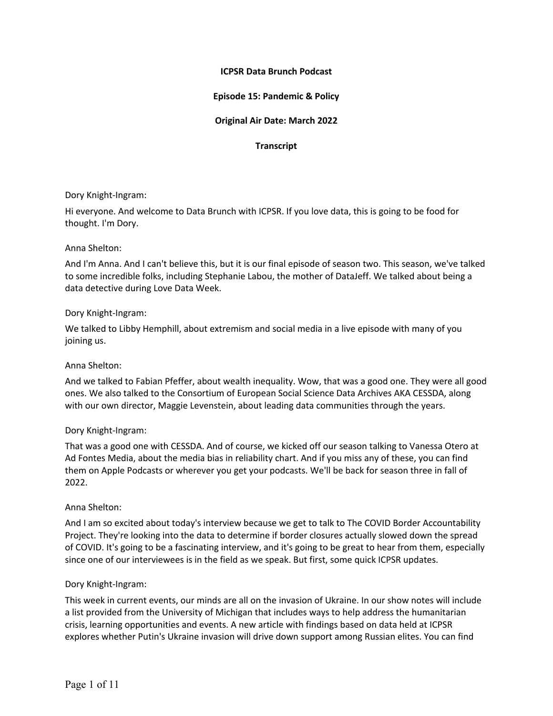# **ICPSR Data Brunch Podcast**

# **Episode 15: Pandemic & Policy**

# **Original Air Date: March 2022**

## **Transcript**

#### Dory Knight-Ingram:

Hi everyone. And welcome to Data Brunch with ICPSR. If you love data, this is going to be food for thought. I'm Dory.

## Anna Shelton:

And I'm Anna. And I can't believe this, but it is our final episode of season two. This season, we've talked to some incredible folks, including Stephanie Labou, the mother of DataJeff. We talked about being a data detective during Love Data Week.

#### Dory Knight-Ingram:

We talked to Libby Hemphill, about extremism and social media in a live episode with many of you joining us.

## Anna Shelton:

And we talked to Fabian Pfeffer, about wealth inequality. Wow, that was a good one. They were all good ones. We also talked to the Consortium of European Social Science Data Archives AKA CESSDA, along with our own director, Maggie Levenstein, about leading data communities through the years.

## Dory Knight-Ingram:

That was a good one with CESSDA. And of course, we kicked off our season talking to Vanessa Otero at Ad Fontes Media, about the media bias in reliability chart. And if you miss any of these, you can find them on Apple Podcasts or wherever you get your podcasts. We'll be back for season three in fall of 2022.

#### Anna Shelton:

And I am so excited about today's interview because we get to talk to The COVID Border Accountability Project. They're looking into the data to determine if border closures actually slowed down the spread of COVID. It's going to be a fascinating interview, and it's going to be great to hear from them, especially since one of our interviewees is in the field as we speak. But first, some quick ICPSR updates.

## Dory Knight-Ingram:

This week in current events, our minds are all on the invasion of Ukraine. In our show notes will include a list provided from the University of Michigan that includes ways to help address the humanitarian crisis, learning opportunities and events. A new article with findings based on data held at ICPSR explores whether Putin's Ukraine invasion will drive down support among Russian elites. You can find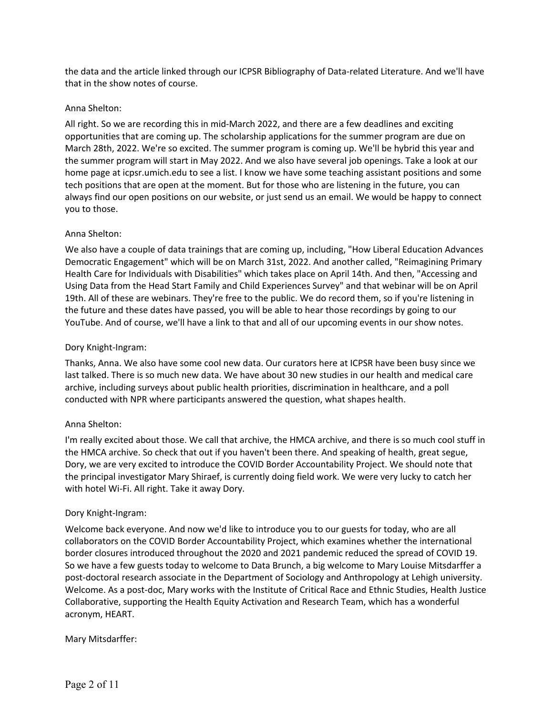the data and the article linked through our ICPSR Bibliography of Data-related Literature. And we'll have that in the show notes of course.

## Anna Shelton:

All right. So we are recording this in mid-March 2022, and there are a few deadlines and exciting opportunities that are coming up. The scholarship applications for the summer program are due on March 28th, 2022. We're so excited. The summer program is coming up. We'll be hybrid this year and the summer program will start in May 2022. And we also have several job openings. Take a look at our home page at icpsr.umich.edu to see a list. I know we have some teaching assistant positions and some tech positions that are open at the moment. But for those who are listening in the future, you can always find our open positions on our website, or just send us an email. We would be happy to connect you to those.

# Anna Shelton:

We also have a couple of data trainings that are coming up, including, "How Liberal Education Advances Democratic Engagement" which will be on March 31st, 2022. And another called, "Reimagining Primary Health Care for Individuals with Disabilities" which takes place on April 14th. And then, "Accessing and Using Data from the Head Start Family and Child Experiences Survey" and that webinar will be on April 19th. All of these are webinars. They're free to the public. We do record them, so if you're listening in the future and these dates have passed, you will be able to hear those recordings by going to our YouTube. And of course, we'll have a link to that and all of our upcoming events in our show notes.

# Dory Knight-Ingram:

Thanks, Anna. We also have some cool new data. Our curators here at ICPSR have been busy since we last talked. There is so much new data. We have about 30 new studies in our health and medical care archive, including surveys about public health priorities, discrimination in healthcare, and a poll conducted with NPR where participants answered the question, what shapes health.

## Anna Shelton:

I'm really excited about those. We call that archive, the HMCA archive, and there is so much cool stuff in the HMCA archive. So check that out if you haven't been there. And speaking of health, great segue, Dory, we are very excited to introduce the COVID Border Accountability Project. We should note that the principal investigator Mary Shiraef, is currently doing field work. We were very lucky to catch her with hotel Wi-Fi. All right. Take it away Dory.

## Dory Knight-Ingram:

Welcome back everyone. And now we'd like to introduce you to our guests for today, who are all collaborators on the COVID Border Accountability Project, which examines whether the international border closures introduced throughout the 2020 and 2021 pandemic reduced the spread of COVID 19. So we have a few guests today to welcome to Data Brunch, a big welcome to Mary Louise Mitsdarffer a post-doctoral research associate in the Department of Sociology and Anthropology at Lehigh university. Welcome. As a post-doc, Mary works with the Institute of Critical Race and Ethnic Studies, Health Justice Collaborative, supporting the Health Equity Activation and Research Team, which has a wonderful acronym, HEART.

# Mary Mitsdarffer: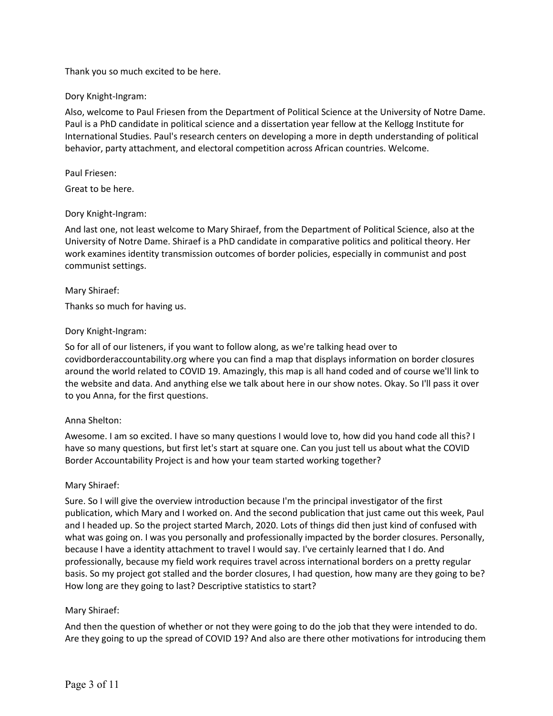Thank you so much excited to be here.

# Dory Knight-Ingram:

Also, welcome to Paul Friesen from the Department of Political Science at the University of Notre Dame. Paul is a PhD candidate in political science and a dissertation year fellow at the Kellogg Institute for International Studies. Paul's research centers on developing a more in depth understanding of political behavior, party attachment, and electoral competition across African countries. Welcome.

# Paul Friesen:

Great to be here.

# Dory Knight-Ingram:

And last one, not least welcome to Mary Shiraef, from the Department of Political Science, also at the University of Notre Dame. Shiraef is a PhD candidate in comparative politics and political theory. Her work examines identity transmission outcomes of border policies, especially in communist and post communist settings.

## Mary Shiraef:

Thanks so much for having us.

# Dory Knight-Ingram:

So for all of our listeners, if you want to follow along, as we're talking head over to covidborderaccountability.org where you can find a map that displays information on border closures around the world related to COVID 19. Amazingly, this map is all hand coded and of course we'll link to the website and data. And anything else we talk about here in our show notes. Okay. So I'll pass it over to you Anna, for the first questions.

## Anna Shelton:

Awesome. I am so excited. I have so many questions I would love to, how did you hand code all this? I have so many questions, but first let's start at square one. Can you just tell us about what the COVID Border Accountability Project is and how your team started working together?

## Mary Shiraef:

Sure. So I will give the overview introduction because I'm the principal investigator of the first publication, which Mary and I worked on. And the second publication that just came out this week, Paul and I headed up. So the project started March, 2020. Lots of things did then just kind of confused with what was going on. I was you personally and professionally impacted by the border closures. Personally, because I have a identity attachment to travel I would say. I've certainly learned that I do. And professionally, because my field work requires travel across international borders on a pretty regular basis. So my project got stalled and the border closures, I had question, how many are they going to be? How long are they going to last? Descriptive statistics to start?

## Mary Shiraef:

And then the question of whether or not they were going to do the job that they were intended to do. Are they going to up the spread of COVID 19? And also are there other motivations for introducing them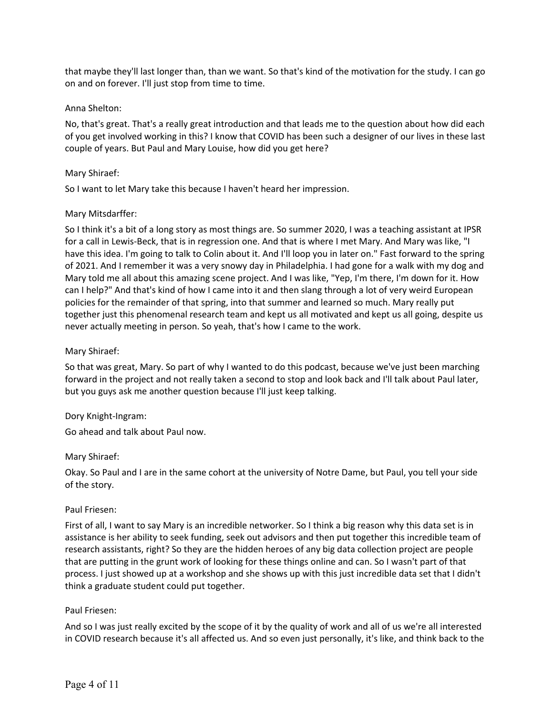that maybe they'll last longer than, than we want. So that's kind of the motivation for the study. I can go on and on forever. I'll just stop from time to time.

## Anna Shelton:

No, that's great. That's a really great introduction and that leads me to the question about how did each of you get involved working in this? I know that COVID has been such a designer of our lives in these last couple of years. But Paul and Mary Louise, how did you get here?

#### Mary Shiraef:

So I want to let Mary take this because I haven't heard her impression.

## Mary Mitsdarffer:

So I think it's a bit of a long story as most things are. So summer 2020, I was a teaching assistant at IPSR for a call in Lewis-Beck, that is in regression one. And that is where I met Mary. And Mary was like, "I have this idea. I'm going to talk to Colin about it. And I'll loop you in later on." Fast forward to the spring of 2021. And I remember it was a very snowy day in Philadelphia. I had gone for a walk with my dog and Mary told me all about this amazing scene project. And I was like, "Yep, I'm there, I'm down for it. How can I help?" And that's kind of how I came into it and then slang through a lot of very weird European policies for the remainder of that spring, into that summer and learned so much. Mary really put together just this phenomenal research team and kept us all motivated and kept us all going, despite us never actually meeting in person. So yeah, that's how I came to the work.

#### Mary Shiraef:

So that was great, Mary. So part of why I wanted to do this podcast, because we've just been marching forward in the project and not really taken a second to stop and look back and I'll talk about Paul later, but you guys ask me another question because I'll just keep talking.

#### Dory Knight-Ingram:

Go ahead and talk about Paul now.

## Mary Shiraef:

Okay. So Paul and I are in the same cohort at the university of Notre Dame, but Paul, you tell your side of the story.

#### Paul Friesen:

First of all, I want to say Mary is an incredible networker. So I think a big reason why this data set is in assistance is her ability to seek funding, seek out advisors and then put together this incredible team of research assistants, right? So they are the hidden heroes of any big data collection project are people that are putting in the grunt work of looking for these things online and can. So I wasn't part of that process. I just showed up at a workshop and she shows up with this just incredible data set that I didn't think a graduate student could put together.

#### Paul Friesen:

And so I was just really excited by the scope of it by the quality of work and all of us we're all interested in COVID research because it's all affected us. And so even just personally, it's like, and think back to the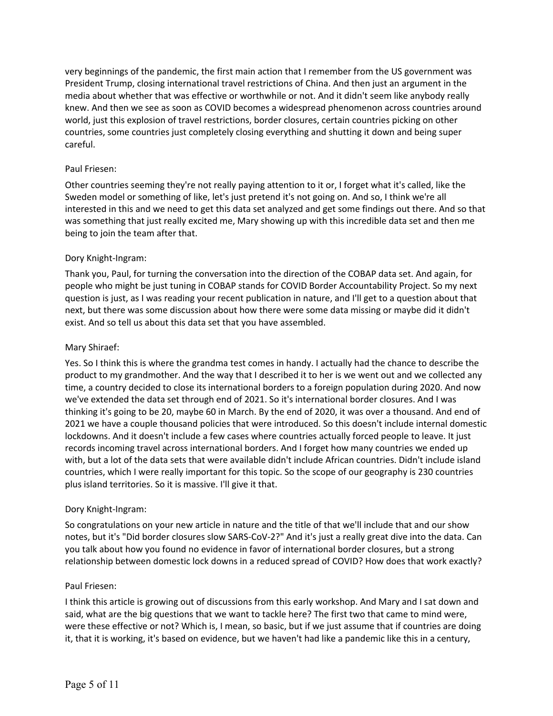very beginnings of the pandemic, the first main action that I remember from the US government was President Trump, closing international travel restrictions of China. And then just an argument in the media about whether that was effective or worthwhile or not. And it didn't seem like anybody really knew. And then we see as soon as COVID becomes a widespread phenomenon across countries around world, just this explosion of travel restrictions, border closures, certain countries picking on other countries, some countries just completely closing everything and shutting it down and being super careful.

# Paul Friesen:

Other countries seeming they're not really paying attention to it or, I forget what it's called, like the Sweden model or something of like, let's just pretend it's not going on. And so, I think we're all interested in this and we need to get this data set analyzed and get some findings out there. And so that was something that just really excited me, Mary showing up with this incredible data set and then me being to join the team after that.

# Dory Knight-Ingram:

Thank you, Paul, for turning the conversation into the direction of the COBAP data set. And again, for people who might be just tuning in COBAP stands for COVID Border Accountability Project. So my next question is just, as I was reading your recent publication in nature, and I'll get to a question about that next, but there was some discussion about how there were some data missing or maybe did it didn't exist. And so tell us about this data set that you have assembled.

## Mary Shiraef:

Yes. So I think this is where the grandma test comes in handy. I actually had the chance to describe the product to my grandmother. And the way that I described it to her is we went out and we collected any time, a country decided to close its international borders to a foreign population during 2020. And now we've extended the data set through end of 2021. So it's international border closures. And I was thinking it's going to be 20, maybe 60 in March. By the end of 2020, it was over a thousand. And end of 2021 we have a couple thousand policies that were introduced. So this doesn't include internal domestic lockdowns. And it doesn't include a few cases where countries actually forced people to leave. It just records incoming travel across international borders. And I forget how many countries we ended up with, but a lot of the data sets that were available didn't include African countries. Didn't include island countries, which I were really important for this topic. So the scope of our geography is 230 countries plus island territories. So it is massive. I'll give it that.

## Dory Knight-Ingram:

So congratulations on your new article in nature and the title of that we'll include that and our show notes, but it's "Did border closures slow SARS-CoV-2?" And it's just a really great dive into the data. Can you talk about how you found no evidence in favor of international border closures, but a strong relationship between domestic lock downs in a reduced spread of COVID? How does that work exactly?

## Paul Friesen:

I think this article is growing out of discussions from this early workshop. And Mary and I sat down and said, what are the big questions that we want to tackle here? The first two that came to mind were, were these effective or not? Which is, I mean, so basic, but if we just assume that if countries are doing it, that it is working, it's based on evidence, but we haven't had like a pandemic like this in a century,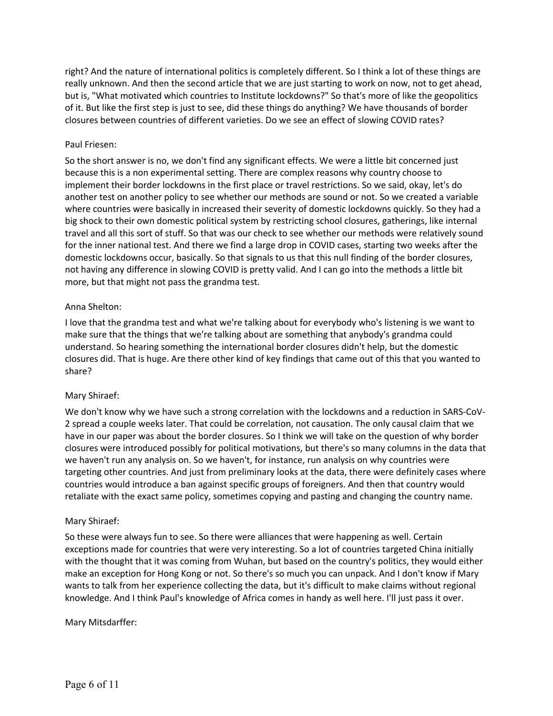right? And the nature of international politics is completely different. So I think a lot of these things are really unknown. And then the second article that we are just starting to work on now, not to get ahead, but is, "What motivated which countries to Institute lockdowns?" So that's more of like the geopolitics of it. But like the first step is just to see, did these things do anything? We have thousands of border closures between countries of different varieties. Do we see an effect of slowing COVID rates?

## Paul Friesen:

So the short answer is no, we don't find any significant effects. We were a little bit concerned just because this is a non experimental setting. There are complex reasons why country choose to implement their border lockdowns in the first place or travel restrictions. So we said, okay, let's do another test on another policy to see whether our methods are sound or not. So we created a variable where countries were basically in increased their severity of domestic lockdowns quickly. So they had a big shock to their own domestic political system by restricting school closures, gatherings, like internal travel and all this sort of stuff. So that was our check to see whether our methods were relatively sound for the inner national test. And there we find a large drop in COVID cases, starting two weeks after the domestic lockdowns occur, basically. So that signals to us that this null finding of the border closures, not having any difference in slowing COVID is pretty valid. And I can go into the methods a little bit more, but that might not pass the grandma test.

#### Anna Shelton:

I love that the grandma test and what we're talking about for everybody who's listening is we want to make sure that the things that we're talking about are something that anybody's grandma could understand. So hearing something the international border closures didn't help, but the domestic closures did. That is huge. Are there other kind of key findings that came out of this that you wanted to share?

## Mary Shiraef:

We don't know why we have such a strong correlation with the lockdowns and a reduction in SARS-CoV-2 spread a couple weeks later. That could be correlation, not causation. The only causal claim that we have in our paper was about the border closures. So I think we will take on the question of why border closures were introduced possibly for political motivations, but there's so many columns in the data that we haven't run any analysis on. So we haven't, for instance, run analysis on why countries were targeting other countries. And just from preliminary looks at the data, there were definitely cases where countries would introduce a ban against specific groups of foreigners. And then that country would retaliate with the exact same policy, sometimes copying and pasting and changing the country name.

#### Mary Shiraef:

So these were always fun to see. So there were alliances that were happening as well. Certain exceptions made for countries that were very interesting. So a lot of countries targeted China initially with the thought that it was coming from Wuhan, but based on the country's politics, they would either make an exception for Hong Kong or not. So there's so much you can unpack. And I don't know if Mary wants to talk from her experience collecting the data, but it's difficult to make claims without regional knowledge. And I think Paul's knowledge of Africa comes in handy as well here. I'll just pass it over.

#### Mary Mitsdarffer: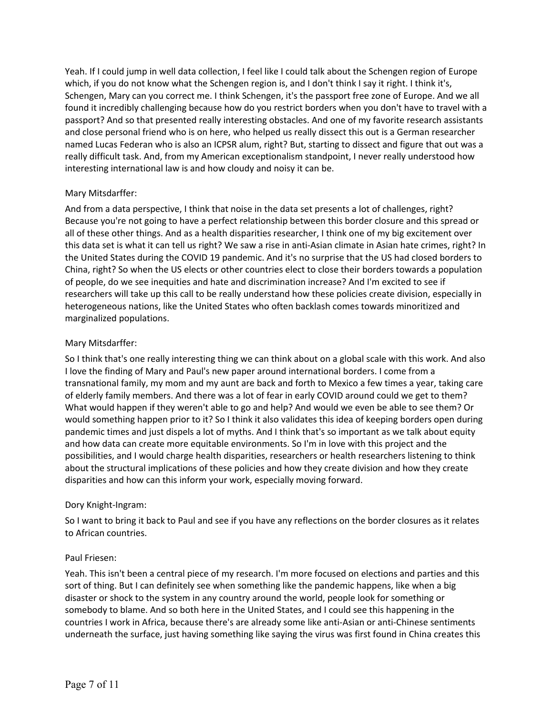Yeah. If I could jump in well data collection, I feel like I could talk about the Schengen region of Europe which, if you do not know what the Schengen region is, and I don't think I say it right. I think it's, Schengen, Mary can you correct me. I think Schengen, it's the passport free zone of Europe. And we all found it incredibly challenging because how do you restrict borders when you don't have to travel with a passport? And so that presented really interesting obstacles. And one of my favorite research assistants and close personal friend who is on here, who helped us really dissect this out is a German researcher named Lucas Federan who is also an ICPSR alum, right? But, starting to dissect and figure that out was a really difficult task. And, from my American exceptionalism standpoint, I never really understood how interesting international law is and how cloudy and noisy it can be.

# Mary Mitsdarffer:

And from a data perspective, I think that noise in the data set presents a lot of challenges, right? Because you're not going to have a perfect relationship between this border closure and this spread or all of these other things. And as a health disparities researcher, I think one of my big excitement over this data set is what it can tell us right? We saw a rise in anti-Asian climate in Asian hate crimes, right? In the United States during the COVID 19 pandemic. And it's no surprise that the US had closed borders to China, right? So when the US elects or other countries elect to close their borders towards a population of people, do we see inequities and hate and discrimination increase? And I'm excited to see if researchers will take up this call to be really understand how these policies create division, especially in heterogeneous nations, like the United States who often backlash comes towards minoritized and marginalized populations.

# Mary Mitsdarffer:

So I think that's one really interesting thing we can think about on a global scale with this work. And also I love the finding of Mary and Paul's new paper around international borders. I come from a transnational family, my mom and my aunt are back and forth to Mexico a few times a year, taking care of elderly family members. And there was a lot of fear in early COVID around could we get to them? What would happen if they weren't able to go and help? And would we even be able to see them? Or would something happen prior to it? So I think it also validates this idea of keeping borders open during pandemic times and just dispels a lot of myths. And I think that's so important as we talk about equity and how data can create more equitable environments. So I'm in love with this project and the possibilities, and I would charge health disparities, researchers or health researchers listening to think about the structural implications of these policies and how they create division and how they create disparities and how can this inform your work, especially moving forward.

# Dory Knight-Ingram:

So I want to bring it back to Paul and see if you have any reflections on the border closures as it relates to African countries.

## Paul Friesen:

Yeah. This isn't been a central piece of my research. I'm more focused on elections and parties and this sort of thing. But I can definitely see when something like the pandemic happens, like when a big disaster or shock to the system in any country around the world, people look for something or somebody to blame. And so both here in the United States, and I could see this happening in the countries I work in Africa, because there's are already some like anti-Asian or anti-Chinese sentiments underneath the surface, just having something like saying the virus was first found in China creates this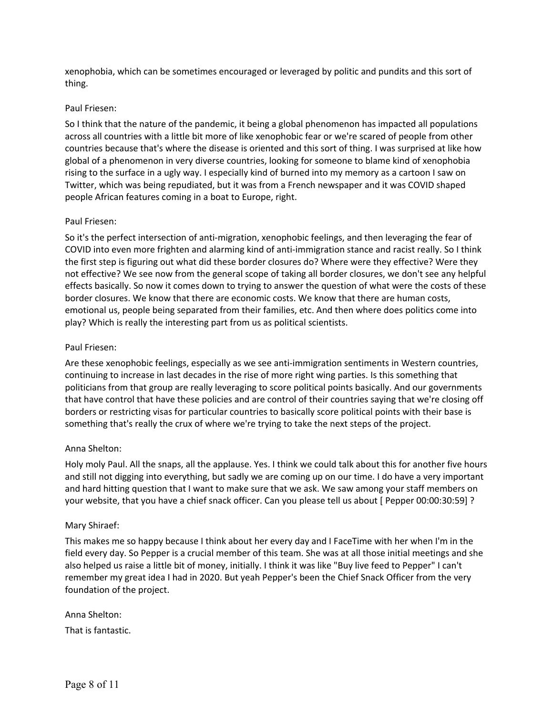xenophobia, which can be sometimes encouraged or leveraged by politic and pundits and this sort of thing.

## Paul Friesen:

So I think that the nature of the pandemic, it being a global phenomenon has impacted all populations across all countries with a little bit more of like xenophobic fear or we're scared of people from other countries because that's where the disease is oriented and this sort of thing. I was surprised at like how global of a phenomenon in very diverse countries, looking for someone to blame kind of xenophobia rising to the surface in a ugly way. I especially kind of burned into my memory as a cartoon I saw on Twitter, which was being repudiated, but it was from a French newspaper and it was COVID shaped people African features coming in a boat to Europe, right.

## Paul Friesen:

So it's the perfect intersection of anti-migration, xenophobic feelings, and then leveraging the fear of COVID into even more frighten and alarming kind of anti-immigration stance and racist really. So I think the first step is figuring out what did these border closures do? Where were they effective? Were they not effective? We see now from the general scope of taking all border closures, we don't see any helpful effects basically. So now it comes down to trying to answer the question of what were the costs of these border closures. We know that there are economic costs. We know that there are human costs, emotional us, people being separated from their families, etc. And then where does politics come into play? Which is really the interesting part from us as political scientists.

#### Paul Friesen:

Are these xenophobic feelings, especially as we see anti-immigration sentiments in Western countries, continuing to increase in last decades in the rise of more right wing parties. Is this something that politicians from that group are really leveraging to score political points basically. And our governments that have control that have these policies and are control of their countries saying that we're closing off borders or restricting visas for particular countries to basically score political points with their base is something that's really the crux of where we're trying to take the next steps of the project.

## Anna Shelton:

Holy moly Paul. All the snaps, all the applause. Yes. I think we could talk about this for another five hours and still not digging into everything, but sadly we are coming up on our time. I do have a very important and hard hitting question that I want to make sure that we ask. We saw among your staff members on your website, that you have a chief snack officer. Can you please tell us about [ Pepper 00:00:30:59] ?

#### Mary Shiraef:

This makes me so happy because I think about her every day and I FaceTime with her when I'm in the field every day. So Pepper is a crucial member of this team. She was at all those initial meetings and she also helped us raise a little bit of money, initially. I think it was like "Buy live feed to Pepper" I can't remember my great idea I had in 2020. But yeah Pepper's been the Chief Snack Officer from the very foundation of the project.

Anna Shelton: That is fantastic.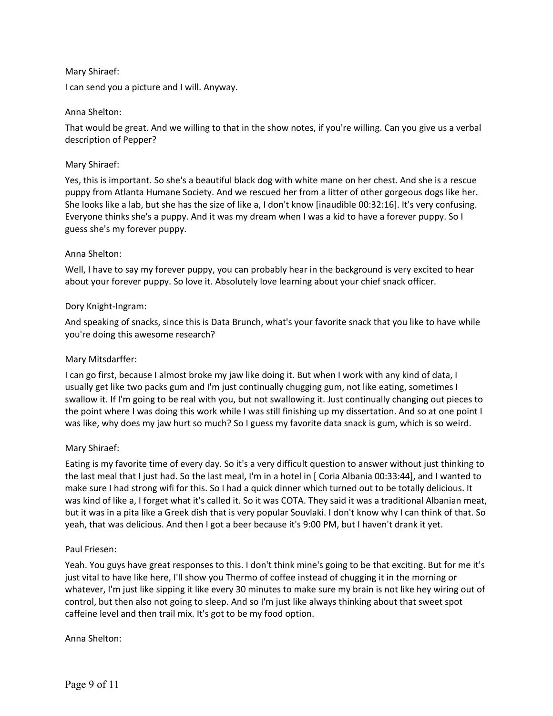## Mary Shiraef:

I can send you a picture and I will. Anyway.

## Anna Shelton:

That would be great. And we willing to that in the show notes, if you're willing. Can you give us a verbal description of Pepper?

## Mary Shiraef:

Yes, this is important. So she's a beautiful black dog with white mane on her chest. And she is a rescue puppy from Atlanta Humane Society. And we rescued her from a litter of other gorgeous dogs like her. She looks like a lab, but she has the size of like a, I don't know [inaudible 00:32:16]. It's very confusing. Everyone thinks she's a puppy. And it was my dream when I was a kid to have a forever puppy. So I guess she's my forever puppy.

# Anna Shelton:

Well, I have to say my forever puppy, you can probably hear in the background is very excited to hear about your forever puppy. So love it. Absolutely love learning about your chief snack officer.

# Dory Knight-Ingram:

And speaking of snacks, since this is Data Brunch, what's your favorite snack that you like to have while you're doing this awesome research?

## Mary Mitsdarffer:

I can go first, because I almost broke my jaw like doing it. But when I work with any kind of data, I usually get like two packs gum and I'm just continually chugging gum, not like eating, sometimes I swallow it. If I'm going to be real with you, but not swallowing it. Just continually changing out pieces to the point where I was doing this work while I was still finishing up my dissertation. And so at one point I was like, why does my jaw hurt so much? So I guess my favorite data snack is gum, which is so weird.

## Mary Shiraef:

Eating is my favorite time of every day. So it's a very difficult question to answer without just thinking to the last meal that I just had. So the last meal, I'm in a hotel in [ Coria Albania 00:33:44], and I wanted to make sure I had strong wifi for this. So I had a quick dinner which turned out to be totally delicious. It was kind of like a, I forget what it's called it. So it was COTA. They said it was a traditional Albanian meat, but it was in a pita like a Greek dish that is very popular Souvlaki. I don't know why I can think of that. So yeah, that was delicious. And then I got a beer because it's 9:00 PM, but I haven't drank it yet.

## Paul Friesen:

Yeah. You guys have great responses to this. I don't think mine's going to be that exciting. But for me it's just vital to have like here, I'll show you Thermo of coffee instead of chugging it in the morning or whatever, I'm just like sipping it like every 30 minutes to make sure my brain is not like hey wiring out of control, but then also not going to sleep. And so I'm just like always thinking about that sweet spot caffeine level and then trail mix. It's got to be my food option.

## Anna Shelton: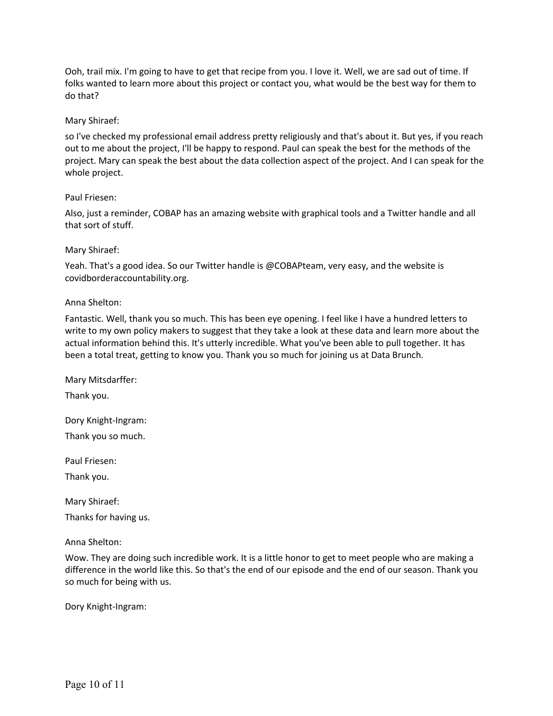Ooh, trail mix. I'm going to have to get that recipe from you. I love it. Well, we are sad out of time. If folks wanted to learn more about this project or contact you, what would be the best way for them to do that?

## Mary Shiraef:

so I've checked my professional email address pretty religiously and that's about it. But yes, if you reach out to me about the project, I'll be happy to respond. Paul can speak the best for the methods of the project. Mary can speak the best about the data collection aspect of the project. And I can speak for the whole project.

#### Paul Friesen:

Also, just a reminder, COBAP has an amazing website with graphical tools and a Twitter handle and all that sort of stuff.

#### Mary Shiraef:

Yeah. That's a good idea. So our Twitter handle is @COBAPteam, very easy, and the website is covidborderaccountability.org.

#### Anna Shelton:

Fantastic. Well, thank you so much. This has been eye opening. I feel like I have a hundred letters to write to my own policy makers to suggest that they take a look at these data and learn more about the actual information behind this. It's utterly incredible. What you've been able to pull together. It has been a total treat, getting to know you. Thank you so much for joining us at Data Brunch.

Mary Mitsdarffer:

Thank you.

Dory Knight-Ingram:

Thank you so much.

Paul Friesen:

Thank you.

Mary Shiraef:

Thanks for having us.

Anna Shelton:

Wow. They are doing such incredible work. It is a little honor to get to meet people who are making a difference in the world like this. So that's the end of our episode and the end of our season. Thank you so much for being with us.

Dory Knight-Ingram: